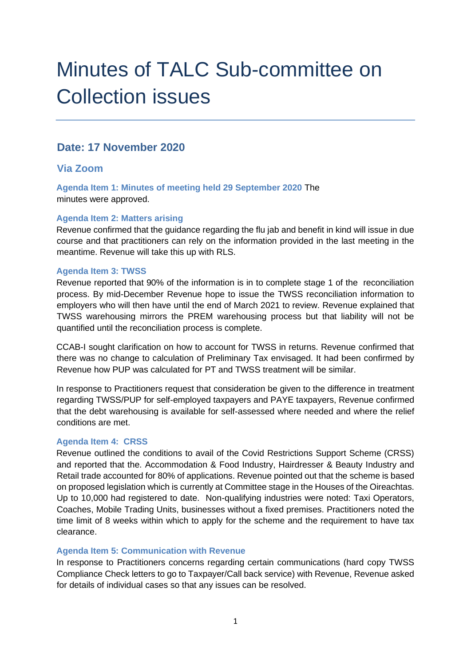# Minutes of TALC Sub-committee on Collection issues

## **Date: 17 November 2020**

## **Via Zoom**

**Agenda Item 1: Minutes of meeting held 29 September 2020** The minutes were approved.

#### **Agenda Item 2: Matters arising**

Revenue confirmed that the guidance regarding the flu jab and benefit in kind will issue in due course and that practitioners can rely on the information provided in the last meeting in the meantime. Revenue will take this up with RLS.

#### **Agenda Item 3: TWSS**

Revenue reported that 90% of the information is in to complete stage 1 of the reconciliation process. By mid-December Revenue hope to issue the TWSS reconciliation information to employers who will then have until the end of March 2021 to review. Revenue explained that TWSS warehousing mirrors the PREM warehousing process but that liability will not be quantified until the reconciliation process is complete.

CCAB-I sought clarification on how to account for TWSS in returns. Revenue confirmed that there was no change to calculation of Preliminary Tax envisaged. It had been confirmed by Revenue how PUP was calculated for PT and TWSS treatment will be similar.

In response to Practitioners request that consideration be given to the difference in treatment regarding TWSS/PUP for self-employed taxpayers and PAYE taxpayers, Revenue confirmed that the debt warehousing is available for self-assessed where needed and where the relief conditions are met.

#### **Agenda Item 4: CRSS**

Revenue outlined the conditions to avail of the Covid Restrictions Support Scheme (CRSS) and reported that the. Accommodation & Food Industry, Hairdresser & Beauty Industry and Retail trade accounted for 80% of applications. Revenue pointed out that the scheme is based on proposed legislation which is currently at Committee stage in the Houses of the Oireachtas. Up to 10,000 had registered to date. Non-qualifying industries were noted: Taxi Operators, Coaches, Mobile Trading Units, businesses without a fixed premises. Practitioners noted the time limit of 8 weeks within which to apply for the scheme and the requirement to have tax clearance.

#### **Agenda Item 5: Communication with Revenue**

In response to Practitioners concerns regarding certain communications (hard copy TWSS Compliance Check letters to go to Taxpayer/Call back service) with Revenue, Revenue asked for details of individual cases so that any issues can be resolved.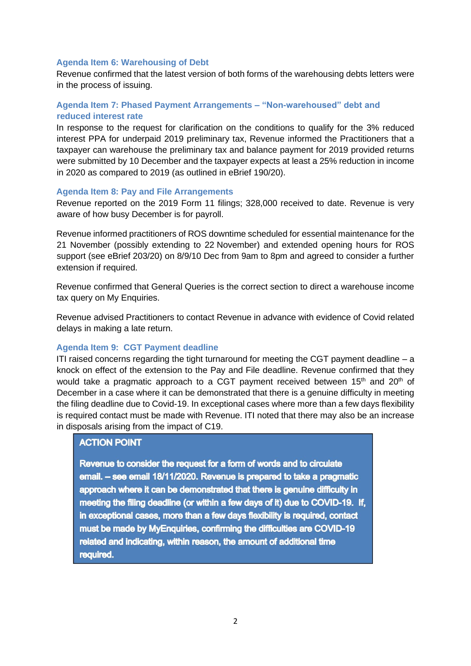#### **Agenda Item 6: Warehousing of Debt**

Revenue confirmed that the latest version of both forms of the warehousing debts letters were in the process of issuing.

#### **Agenda Item 7: Phased Payment Arrangements – "Non-warehoused" debt and reduced interest rate**

In response to the request for clarification on the conditions to qualify for the 3% reduced interest PPA for underpaid 2019 preliminary tax, Revenue informed the Practitioners that a taxpayer can warehouse the preliminary tax and balance payment for 2019 provided returns were submitted by 10 December and the taxpayer expects at least a 25% reduction in income in 2020 as compared to 2019 (as outlined in eBrief 190/20).

#### **Agenda Item 8: Pay and File Arrangements**

Revenue reported on the 2019 Form 11 filings; 328,000 received to date. Revenue is very aware of how busy December is for payroll.

Revenue informed practitioners of ROS downtime scheduled for essential maintenance for the 21 November (possibly extending to 22 November) and extended opening hours for ROS support (see eBrief 203/20) on 8/9/10 Dec from 9am to 8pm and agreed to consider a further extension if required.

Revenue confirmed that General Queries is the correct section to direct a warehouse income tax query on My Enquiries.

Revenue advised Practitioners to contact Revenue in advance with evidence of Covid related delays in making a late return.

#### **Agenda Item 9: CGT Payment deadline**

ITI raised concerns regarding the tight turnaround for meeting the CGT payment deadline – a knock on effect of the extension to the Pay and File deadline. Revenue confirmed that they would take a pragmatic approach to a CGT payment received between  $15<sup>th</sup>$  and  $20<sup>th</sup>$  of December in a case where it can be demonstrated that there is a genuine difficulty in meeting the filing deadline due to Covid-19. In exceptional cases where more than a few days flexibility is required contact must be made with Revenue. ITI noted that there may also be an increase in disposals arising from the impact of C19.

#### **ACTION POINT**

Revenue to consider the request for a form of words and to circulate email. - see email 18/11/2020. Revenue is prepared to take a pragmatic approach where it can be demonstrated that there is genuine difficulty in meeting the filing deadline (or within a few days of it) due to COVID-19. If, in exceptional cases, more than a few days flexibility is required, contact must be made by MyEnquiries, confirming the difficulties are COVID-19 related and indicating, within reason, the amount of additional time required.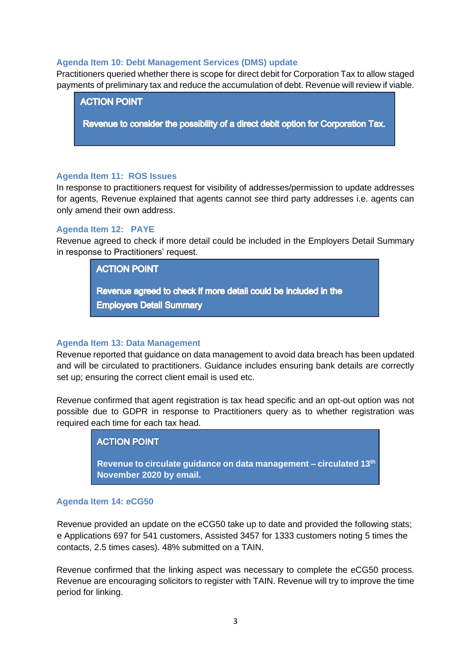#### **Agenda Item 10: Debt Management Services (DMS) update**

Practitioners queried whether there is scope for direct debit for Corporation Tax to allow staged payments of preliminary tax and reduce the accumulation of debt. Revenue will review if viable.

**ACTION POINT** 

Revenue to consider the possibility of a direct debit option for Corporation Tax.

#### **Agenda Item 11: ROS Issues**

In response to practitioners request for visibility of addresses/permission to update addresses for agents, Revenue explained that agents cannot see third party addresses i.e. agents can only amend their own address.

#### **Agenda Item 12: PAYE**

Revenue agreed to check if more detail could be included in the Employers Detail Summary in response to Practitioners' request.

**ACTION POINT** 

Revenue agreed to check if more detail could be included in the **Employers Detail Summary** 

#### **Agenda Item 13: Data Management**

Revenue reported that guidance on data management to avoid data breach has been updated and will be circulated to practitioners. Guidance includes ensuring bank details are correctly set up; ensuring the correct client email is used etc.

Revenue confirmed that agent registration is tax head specific and an opt-out option was not possible due to GDPR in response to Practitioners query as to whether registration was required each time for each tax head.

#### **ACTION POINT**

**Revenue to circulate guidance on data management – circulated 13th November 2020 by email.** 

#### **Agenda Item 14: eCG50**

Revenue provided an update on the eCG50 take up to date and provided the following stats; e Applications 697 for 541 customers, Assisted 3457 for 1333 customers noting 5 times the contacts, 2.5 times cases). 48% submitted on a TAIN.

Revenue confirmed that the linking aspect was necessary to complete the eCG50 process. Revenue are encouraging solicitors to register with TAIN. Revenue will try to improve the time period for linking.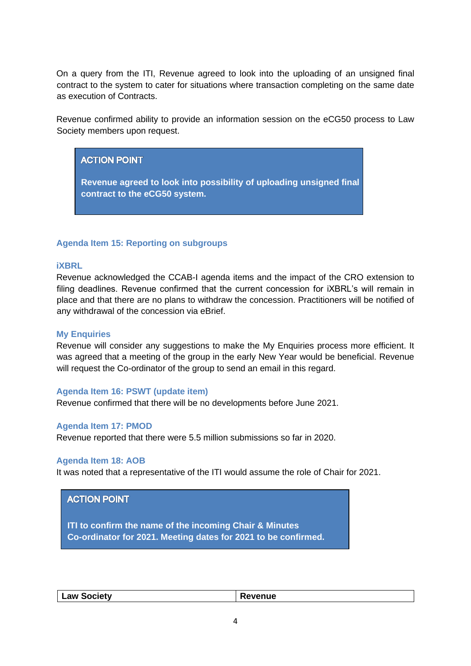On a query from the ITI, Revenue agreed to look into the uploading of an unsigned final contract to the system to cater for situations where transaction completing on the same date as execution of Contracts.

Revenue confirmed ability to provide an information session on the eCG50 process to Law Society members upon request.

## **ACTION POINT**

**Revenue agreed to look into possibility of uploading unsigned final contract to the eCG50 system.** 

#### **Agenda Item 15: Reporting on subgroups**

#### **iXBRL**

Revenue acknowledged the CCAB-I agenda items and the impact of the CRO extension to filing deadlines. Revenue confirmed that the current concession for iXBRL's will remain in place and that there are no plans to withdraw the concession. Practitioners will be notified of any withdrawal of the concession via eBrief.

#### **My Enquiries**

Revenue will consider any suggestions to make the My Enquiries process more efficient. It was agreed that a meeting of the group in the early New Year would be beneficial. Revenue will request the Co-ordinator of the group to send an email in this regard.

#### **Agenda Item 16: PSWT (update item)**

Revenue confirmed that there will be no developments before June 2021.

#### **Agenda Item 17: PMOD**

Revenue reported that there were 5.5 million submissions so far in 2020.

#### **Agenda Item 18: AOB**

It was noted that a representative of the ITI would assume the role of Chair for 2021.

#### **ACTION POINT**

**Attendees** 

**ITI to confirm the name of the incoming Chair & Minutes Co-ordinator for 2021. Meeting dates for 2021 to be confirmed.** 

| <b>Law Society</b> | enue |
|--------------------|------|
|                    |      |